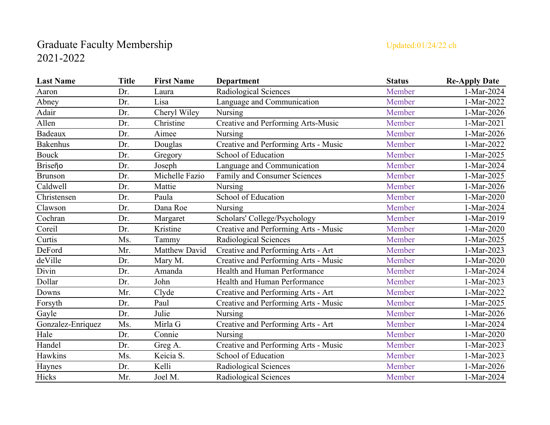## Graduate Faculty Membership Updated:01/24/22 ch 2021-2022

| <b>Last Name</b>  | <b>Title</b> | <b>First Name</b> | <b>Department</b>                    | <b>Status</b> | <b>Re-Apply Date</b> |
|-------------------|--------------|-------------------|--------------------------------------|---------------|----------------------|
| Aaron             | Dr.          | Laura             | Radiological Sciences                | Member        | 1-Mar-2024           |
| Abney             | Dr.          | Lisa              | Language and Communication           | Member        | 1-Mar-2022           |
| Adair             | Dr.          | Cheryl Wiley      | Nursing                              | Member        | 1-Mar-2026           |
| Allen             | Dr.          | Christine         | Creative and Performing Arts-Music   | Member        | 1-Mar-2021           |
| Badeaux           | Dr.          | Aimee             | Nursing                              | Member        | 1-Mar-2026           |
| <b>Bakenhus</b>   | Dr.          | Douglas           | Creative and Performing Arts - Music | Member        | 1-Mar-2022           |
| <b>Bouck</b>      | Dr.          | Gregory           | School of Education                  | Member        | 1-Mar-2025           |
| Briseño           | Dr.          | Joseph            | Language and Communication           | Member        | 1-Mar-2024           |
| <b>Brunson</b>    | Dr.          | Michelle Fazio    | Family and Consumer Sciences         | Member        | 1-Mar-2025           |
| Caldwell          | Dr.          | Mattie            | Nursing                              | Member        | 1-Mar-2026           |
| Christensen       | Dr.          | Paula             | School of Education                  | Member        | 1-Mar-2020           |
| Clawson           | Dr.          | Dana Roe          | Nursing                              | Member        | 1-Mar-2024           |
| Cochran           | Dr.          | Margaret          | Scholars' College/Psychology         | Member        | 1-Mar-2019           |
| Coreil            | Dr.          | Kristine          | Creative and Performing Arts - Music | Member        | 1-Mar-2020           |
| Curtis            | Ms.          | Tammy             | Radiological Sciences                | Member        | 1-Mar-2025           |
| DeFord            | Mr.          | Matthew David     | Creative and Performing Arts - Art   | Member        | 1-Mar-2023           |
| deVille           | Dr.          | Mary M.           | Creative and Performing Arts - Music | Member        | 1-Mar-2020           |
| Divin             | Dr.          | Amanda            | Health and Human Performance         | Member        | 1-Mar-2024           |
| Dollar            | Dr.          | John              | Health and Human Performance         | Member        | 1-Mar-2023           |
| Downs             | Mr.          | Clyde             | Creative and Performing Arts - Art   | Member        | 1-Mar-2022           |
| Forsyth           | Dr.          | Paul              | Creative and Performing Arts - Music | Member        | 1-Mar-2025           |
| Gayle             | Dr.          | Julie             | Nursing                              | Member        | 1-Mar-2026           |
| Gonzalez-Enriquez | Ms.          | Mirla G           | Creative and Performing Arts - Art   | Member        | 1-Mar-2024           |
| Hale              | Dr.          | Connie            | Nursing                              | Member        | 1-Mar-2020           |
| Handel            | Dr.          | Greg A.           | Creative and Performing Arts - Music | Member        | 1-Mar-2023           |
| Hawkins           | Ms.          | Keicia S.         | School of Education                  | Member        | 1-Mar-2023           |
| Haynes            | Dr.          | Kelli             | Radiological Sciences                | Member        | 1-Mar-2026           |
| Hicks             | Mr.          | Joel M.           | Radiological Sciences                | Member        | 1-Mar-2024           |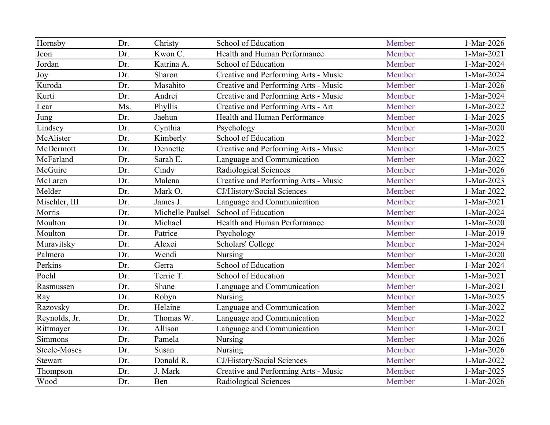| Hornsby        | Dr. | Christy          | School of Education                  | Member | 1-Mar-2026 |
|----------------|-----|------------------|--------------------------------------|--------|------------|
| Jeon           | Dr. | Kwon C.          | Health and Human Performance         | Member | 1-Mar-2021 |
| Jordan         | Dr. | Katrina A.       | School of Education                  | Member | 1-Mar-2024 |
| Joy            | Dr. | Sharon           | Creative and Performing Arts - Music | Member | 1-Mar-2024 |
| Kuroda         | Dr. | Masahito         | Creative and Performing Arts - Music | Member | 1-Mar-2026 |
| Kurti          | Dr. | Andrej           | Creative and Performing Arts - Music | Member | 1-Mar-2024 |
| Lear           | Ms. | Phyllis          | Creative and Performing Arts - Art   | Member | 1-Mar-2022 |
| Jung           | Dr. | Jaehun           | Health and Human Performance         | Member | 1-Mar-2025 |
| Lindsey        | Dr. | Cynthia          | Psychology                           | Member | 1-Mar-2020 |
| McAlister      | Dr. | Kimberly         | School of Education                  | Member | 1-Mar-2022 |
| McDermott      | Dr. | Dennette         | Creative and Performing Arts - Music | Member | 1-Mar-2025 |
| McFarland      | Dr. | Sarah E.         | Language and Communication           | Member | 1-Mar-2022 |
| McGuire        | Dr. | Cindy            | Radiological Sciences                | Member | 1-Mar-2026 |
| McLaren        | Dr. | Malena           | Creative and Performing Arts - Music | Member | 1-Mar-2023 |
| Melder         | Dr. | Mark O.          | CJ/History/Social Sciences           | Member | 1-Mar-2022 |
| Mischler, III  | Dr. | James J.         | Language and Communication           | Member | 1-Mar-2021 |
| Morris         | Dr. | Michelle Paulsel | School of Education                  | Member | 1-Mar-2024 |
| Moulton        | Dr. | Michael          | Health and Human Performance         | Member | 1-Mar-2020 |
| Moulton        | Dr. | Patrice          | Psychology                           | Member | 1-Mar-2019 |
| Muravitsky     | Dr. | Alexei           | Scholars' College                    | Member | 1-Mar-2024 |
| Palmero        | Dr. | Wendi            | Nursing                              | Member | 1-Mar-2020 |
| Perkins        | Dr. | Gerra            | School of Education                  | Member | 1-Mar-2024 |
| Poehl          | Dr. | Terrie T.        | School of Education                  | Member | 1-Mar-2021 |
| Rasmussen      | Dr. | Shane            | Language and Communication           | Member | 1-Mar-2021 |
| Ray            | Dr. | Robyn            | Nursing                              | Member | 1-Mar-2025 |
| Razovsky       | Dr. | Helaine          | Language and Communication           | Member | 1-Mar-2022 |
| Reynolds, Jr.  | Dr. | Thomas W.        | Language and Communication           | Member | 1-Mar-2022 |
| Rittmayer      | Dr. | Allison          | Language and Communication           | Member | 1-Mar-2021 |
| Simmons        | Dr. | Pamela           | Nursing                              | Member | 1-Mar-2026 |
| Steele-Moses   | Dr. | Susan            | Nursing                              | Member | 1-Mar-2026 |
| <b>Stewart</b> | Dr. | Donald R.        | CJ/History/Social Sciences           | Member | 1-Mar-2022 |
| Thompson       | Dr. | J. Mark          | Creative and Performing Arts - Music | Member | 1-Mar-2025 |
| Wood           | Dr. | Ben              | Radiological Sciences                | Member | 1-Mar-2026 |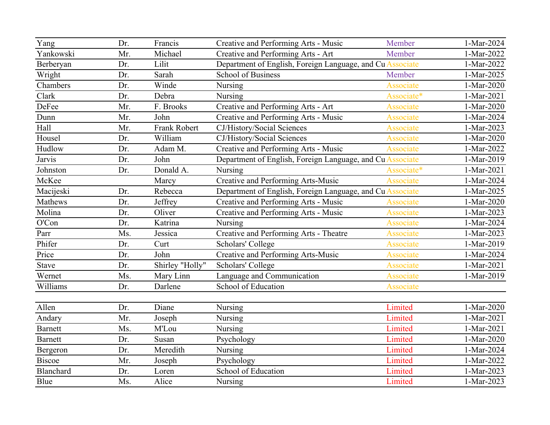| Yang           | Dr. | Francis             | Creative and Performing Arts - Music                      | Member           | 1-Mar-2024 |
|----------------|-----|---------------------|-----------------------------------------------------------|------------------|------------|
| Yankowski      | Mr. | Michael             | Creative and Performing Arts - Art                        | Member           | 1-Mar-2022 |
| Berberyan      | Dr. | Lilit               | Department of English, Foreign Language, and Cu Associate |                  | 1-Mar-2022 |
| Wright         | Dr. | Sarah               | <b>School of Business</b>                                 | Member           | 1-Mar-2025 |
| Chambers       | Dr. | Winde               | Nursing                                                   | Associate        | 1-Mar-2020 |
| Clark          | Dr. | Debra               | Nursing                                                   | Associate*       | 1-Mar-2021 |
| <b>DeFee</b>   | Mr. | F. Brooks           | Creative and Performing Arts - Art                        | Associate        | 1-Mar-2020 |
| Dunn           | Mr. | John                | Creative and Performing Arts - Music                      | Associate        | 1-Mar-2024 |
| Hall           | Mr. | <b>Frank Robert</b> | CJ/History/Social Sciences                                | <b>Associate</b> | 1-Mar-2023 |
| Housel         | Dr. | William             | CJ/History/Social Sciences                                | Associate        | 1-Mar-2020 |
| Hudlow         | Dr. | Adam M.             | Creative and Performing Arts - Music                      | Associate        | 1-Mar-2022 |
| Jarvis         | Dr. | John                | Department of English, Foreign Language, and Cu Associate |                  | 1-Mar-2019 |
| Johnston       | Dr. | Donald A.           | Nursing                                                   | Associate*       | 1-Mar-2021 |
| McKee          |     | Marcy               | Creative and Performing Arts-Music                        | Associate        | 1-Mar-2024 |
| Macijeski      | Dr. | Rebecca             | Department of English, Foreign Language, and Cu Associate |                  | 1-Mar-2025 |
| Mathews        | Dr. | Jeffrey             | Creative and Performing Arts - Music                      | Associate        | 1-Mar-2020 |
| Molina         | Dr. | Oliver              | Creative and Performing Arts - Music                      | Associate        | 1-Mar-2023 |
| O'Con          | Dr. | Katrina             | Nursing                                                   | Associate        | 1-Mar-2024 |
| Parr           | Ms. | Jessica             | Creative and Performing Arts - Theatre                    | Associate        | 1-Mar-2023 |
| Phifer         | Dr. | Curt                | Scholars' College                                         | Associate        | 1-Mar-2019 |
| Price          | Dr. | John                | Creative and Performing Arts-Music                        | <b>Associate</b> | 1-Mar-2024 |
| Stave          | Dr. | Shirley "Holly"     | Scholars' College                                         | Associate        | 1-Mar-2021 |
| Wernet         | Ms. | Mary Linn           | Language and Communication                                | Associate        | 1-Mar-2019 |
| Williams       | Dr. | Darlene             | School of Education                                       | Associate        |            |
|                |     |                     |                                                           |                  |            |
| Allen          | Dr. | Diane               | Nursing                                                   | Limited          | 1-Mar-2020 |
| Andary         | Mr. | Joseph              | Nursing                                                   | Limited          | 1-Mar-2021 |
| <b>Barnett</b> | Ms. | M'Lou               | Nursing                                                   | Limited          | 1-Mar-2021 |
| <b>Barnett</b> | Dr. | Susan               | Psychology                                                | Limited          | 1-Mar-2020 |
| Bergeron       | Dr. | Meredith            | Nursing                                                   | Limited          | 1-Mar-2024 |
| <b>Biscoe</b>  | Mr. | Joseph              | Psychology                                                | Limited          | 1-Mar-2022 |
| Blanchard      | Dr. | Loren               | School of Education                                       | Limited          | 1-Mar-2023 |
| Blue           | Ms. | Alice               | Nursing                                                   | Limited          | 1-Mar-2023 |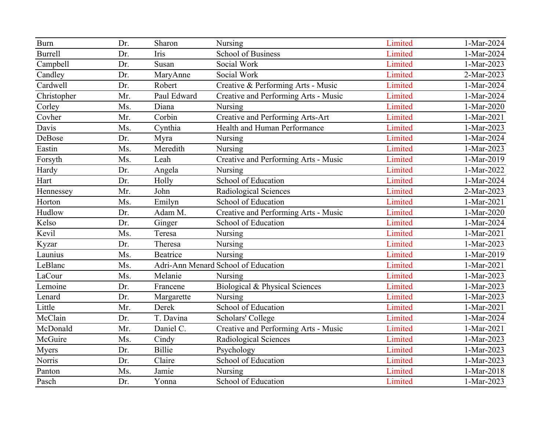| <b>Burn</b>    | Dr. | Sharon        | Nursing                              | Limited | 1-Mar-2024 |
|----------------|-----|---------------|--------------------------------------|---------|------------|
| <b>Burrell</b> | Dr. | Iris          | <b>School of Business</b>            | Limited | 1-Mar-2024 |
| Campbell       | Dr. | Susan         | Social Work                          | Limited | 1-Mar-2023 |
| Candley        | Dr. | MaryAnne      | Social Work                          | Limited | 2-Mar-2023 |
| Cardwell       | Dr. | Robert        | Creative & Performing Arts - Music   | Limited | 1-Mar-2024 |
| Christopher    | Mr. | Paul Edward   | Creative and Performing Arts - Music | Limited | 1-Mar-2024 |
| Corley         | Ms. | Diana         | Nursing                              | Limited | 1-Mar-2020 |
| Covher         | Mr. | Corbin        | Creative and Performing Arts-Art     | Limited | 1-Mar-2021 |
| Davis          | Ms. | Cynthia       | Health and Human Performance         | Limited | 1-Mar-2023 |
| DeBose         | Dr. | Myra          | Nursing                              | Limited | 1-Mar-2024 |
| Eastin         | Ms. | Meredith      | Nursing                              | Limited | 1-Mar-2023 |
| Forsyth        | Ms. | Leah          | Creative and Performing Arts - Music | Limited | 1-Mar-2019 |
| Hardy          | Dr. | Angela        | Nursing                              | Limited | 1-Mar-2022 |
| Hart           | Dr. | Holly         | School of Education                  | Limited | 1-Mar-2024 |
| Hennessey      | Mr. | John          | Radiological Sciences                | Limited | 2-Mar-2023 |
| Horton         | Ms. | Emilyn        | School of Education                  | Limited | 1-Mar-2021 |
| Hudlow         | Dr. | Adam M.       | Creative and Performing Arts - Music | Limited | 1-Mar-2020 |
| Kelso          | Dr. | Ginger        | School of Education                  | Limited | 1-Mar-2024 |
| Kevil          | Ms. | Teresa        | Nursing                              | Limited | 1-Mar-2021 |
| Kyzar          | Dr. | Theresa       | Nursing                              | Limited | 1-Mar-2023 |
| Launius        | Ms. | Beatrice      | Nursing                              | Limited | 1-Mar-2019 |
| LeBlanc        | Ms. |               | Adri-Ann Menard School of Education  | Limited | 1-Mar-2021 |
| LaCour         | Ms. | Melanie       | Nursing                              | Limited | 1-Mar-2023 |
| Lemoine        | Dr. | Francene      | Biological & Physical Sciences       | Limited | 1-Mar-2023 |
| Lenard         | Dr. | Margarette    | Nursing                              | Limited | 1-Mar-2023 |
| Little         | Mr. | Derek         | School of Education                  | Limited | 1-Mar-2021 |
| McClain        | Dr. | T. Davina     | Scholars' College                    | Limited | 1-Mar-2024 |
| McDonald       | Mr. | Daniel C.     | Creative and Performing Arts - Music | Limited | 1-Mar-2021 |
| McGuire        | Ms. | Cindy         | Radiological Sciences                | Limited | 1-Mar-2023 |
| Myers          | Dr. | <b>Billie</b> | Psychology                           | Limited | 1-Mar-2023 |
| Norris         | Dr. | Claire        | School of Education                  | Limited | 1-Mar-2023 |
| Panton         | Ms. | Jamie         | Nursing                              | Limited | 1-Mar-2018 |
| Pasch          | Dr. | Yonna         | School of Education                  | Limited | 1-Mar-2023 |